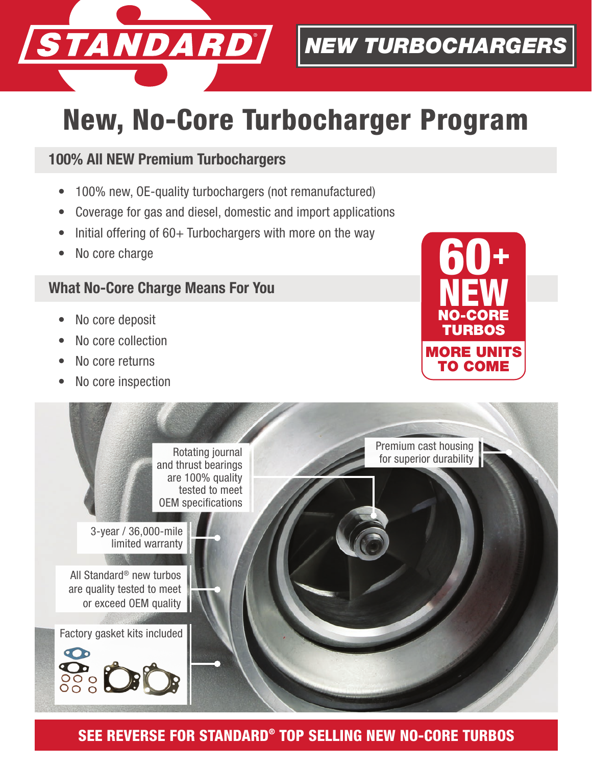

*NEW TURBOCHARGERS*

## New, No-Core Turbocharger Program

## 100% All NEW Premium Turbochargers

- 100% new, OE-quality turbochargers (not remanufactured)
- Coverage for gas and diesel, domestic and import applications
- Initial offering of  $60+$  Turbochargers with more on the way
- No core charge

## What No-Core Charge Means For You

- No core deposit
- No core collection
- No core returns
- No core inspection





SEE REVERSE FOR STANDARD® TOP SELLING NEW NO-CORE TURBOS